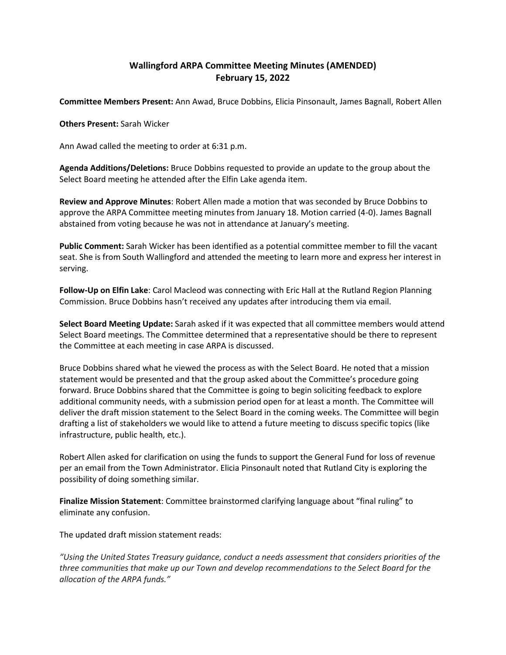## **Wallingford ARPA Committee Meeting Minutes (AMENDED) February 15, 2022**

**Committee Members Present:** Ann Awad, Bruce Dobbins, Elicia Pinsonault, James Bagnall, Robert Allen

**Others Present:** Sarah Wicker

Ann Awad called the meeting to order at 6:31 p.m.

**Agenda Additions/Deletions:** Bruce Dobbins requested to provide an update to the group about the Select Board meeting he attended after the Elfin Lake agenda item.

**Review and Approve Minutes**: Robert Allen made a motion that was seconded by Bruce Dobbins to approve the ARPA Committee meeting minutes from January 18. Motion carried (4-0). James Bagnall abstained from voting because he was not in attendance at January's meeting.

**Public Comment:** Sarah Wicker has been identified as a potential committee member to fill the vacant seat. She is from South Wallingford and attended the meeting to learn more and express her interest in serving.

**Follow-Up on Elfin Lake**: Carol Macleod was connecting with Eric Hall at the Rutland Region Planning Commission. Bruce Dobbins hasn't received any updates after introducing them via email.

**Select Board Meeting Update:** Sarah asked if it was expected that all committee members would attend Select Board meetings. The Committee determined that a representative should be there to represent the Committee at each meeting in case ARPA is discussed.

Bruce Dobbins shared what he viewed the process as with the Select Board. He noted that a mission statement would be presented and that the group asked about the Committee's procedure going forward. Bruce Dobbins shared that the Committee is going to begin soliciting feedback to explore additional community needs, with a submission period open for at least a month. The Committee will deliver the draft mission statement to the Select Board in the coming weeks. The Committee will begin drafting a list of stakeholders we would like to attend a future meeting to discuss specific topics (like infrastructure, public health, etc.).

Robert Allen asked for clarification on using the funds to support the General Fund for loss of revenue per an email from the Town Administrator. Elicia Pinsonault noted that Rutland City is exploring the possibility of doing something similar.

**Finalize Mission Statement**: Committee brainstormed clarifying language about "final ruling" to eliminate any confusion.

The updated draft mission statement reads:

*"Using the United States Treasury guidance, conduct a needs assessment that considers priorities of the three communities that make up our Town and develop recommendations to the Select Board for the allocation of the ARPA funds."*